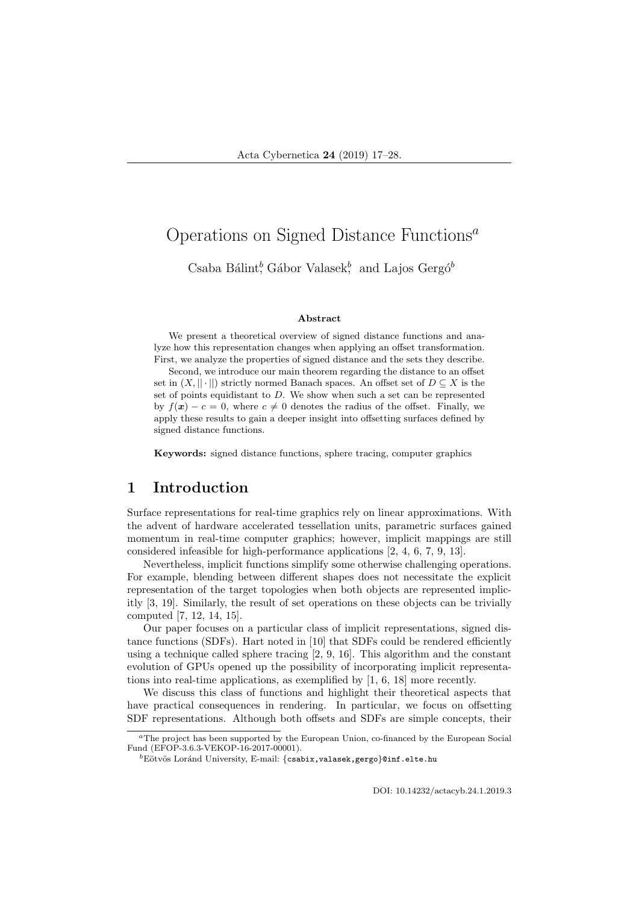# Operations on Signed Distance Functions<sup> $a$ </sup>

Csaba Bálint<sup>b</sup>, Gábor Valasek<sup>b</sup>, and Lajos Gergó<sup>b</sup>

#### Abstract

We present a theoretical overview of signed distance functions and analyze how this representation changes when applying an offset transformation. First, we analyze the properties of signed distance and the sets they describe.

Second, we introduce our main theorem regarding the distance to an offset set in  $(X, || \cdot ||)$  strictly normed Banach spaces. An offset set of  $D \subseteq X$  is the set of points equidistant to D. We show when such a set can be represented by  $f(x) - c = 0$ , where  $c \neq 0$  denotes the radius of the offset. Finally, we apply these results to gain a deeper insight into offsetting surfaces defined by signed distance functions.

Keywords: signed distance functions, sphere tracing, computer graphics

### 1 Introduction

Surface representations for real-time graphics rely on linear approximations. With the advent of hardware accelerated tessellation units, parametric surfaces gained momentum in real-time computer graphics; however, implicit mappings are still considered infeasible for high-performance applications [2, 4, 6, 7, 9, 13].

Nevertheless, implicit functions simplify some otherwise challenging operations. For example, blending between different shapes does not necessitate the explicit representation of the target topologies when both objects are represented implicitly [3, 19]. Similarly, the result of set operations on these objects can be trivially computed [7, 12, 14, 15].

Our paper focuses on a particular class of implicit representations, signed distance functions (SDFs). Hart noted in [10] that SDFs could be rendered efficiently using a technique called sphere tracing [2, 9, 16]. This algorithm and the constant evolution of GPUs opened up the possibility of incorporating implicit representations into real-time applications, as exemplified by [1, 6, 18] more recently.

We discuss this class of functions and highlight their theoretical aspects that have practical consequences in rendering. In particular, we focus on offsetting SDF representations. Although both offsets and SDFs are simple concepts, their

<sup>a</sup>The project has been supported by the European Union, co-financed by the European Social Fund (EFOP-3.6.3-VEKOP-16-2017-00001).

 ${}^{b}$ Eötvös Loránd University, E-mail: {csabix,valasek,gergo}@inf.elte.hu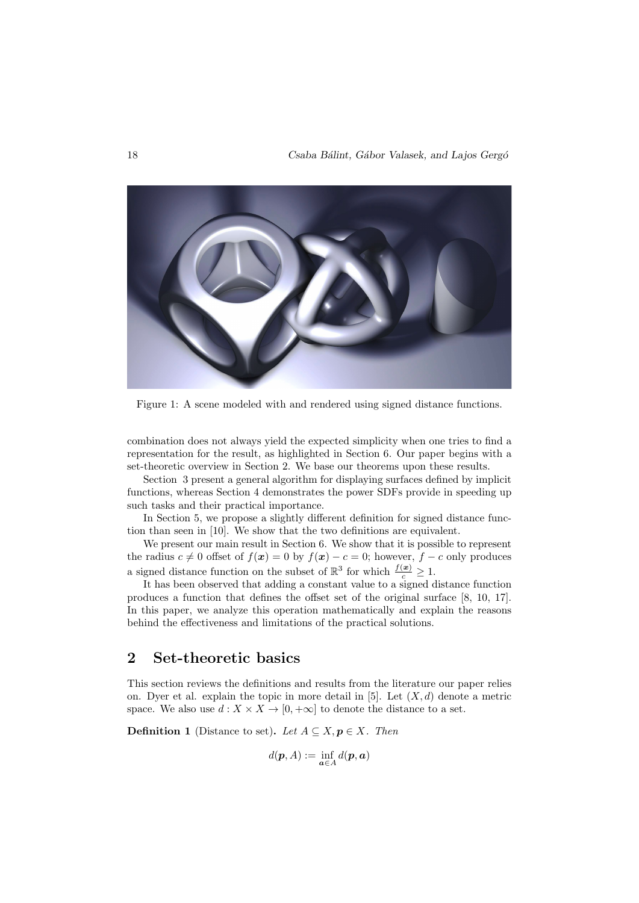

Figure 1: A scene modeled with and rendered using signed distance functions.

combination does not always yield the expected simplicity when one tries to find a representation for the result, as highlighted in Section 6. Our paper begins with a set-theoretic overview in Section 2. We base our theorems upon these results.

Section 3 present a general algorithm for displaying surfaces defined by implicit functions, whereas Section 4 demonstrates the power SDFs provide in speeding up such tasks and their practical importance.

In Section 5, we propose a slightly different definition for signed distance function than seen in [10]. We show that the two definitions are equivalent.

We present our main result in Section 6. We show that it is possible to represent the radius  $c \neq 0$  offset of  $f(x) = 0$  by  $f(x) - c = 0$ ; however,  $f - c$  only produces a signed distance function on the subset of  $\mathbb{R}^3$  for which  $\frac{f(x)}{c} \geq 1$ .

It has been observed that adding a constant value to a signed distance function produces a function that defines the offset set of the original surface [8, 10, 17]. In this paper, we analyze this operation mathematically and explain the reasons behind the effectiveness and limitations of the practical solutions.

# 2 Set-theoretic basics

This section reviews the definitions and results from the literature our paper relies on. Dyer et al. explain the topic in more detail in [5]. Let  $(X, d)$  denote a metric space. We also use  $d: X \times X \to [0, +\infty]$  to denote the distance to a set.

**Definition 1** (Distance to set). Let  $A \subseteq X, p \in X$ . Then

$$
d(\boldsymbol{p},A):=\inf_{\boldsymbol{a}\in A}d(\boldsymbol{p},\boldsymbol{a})
$$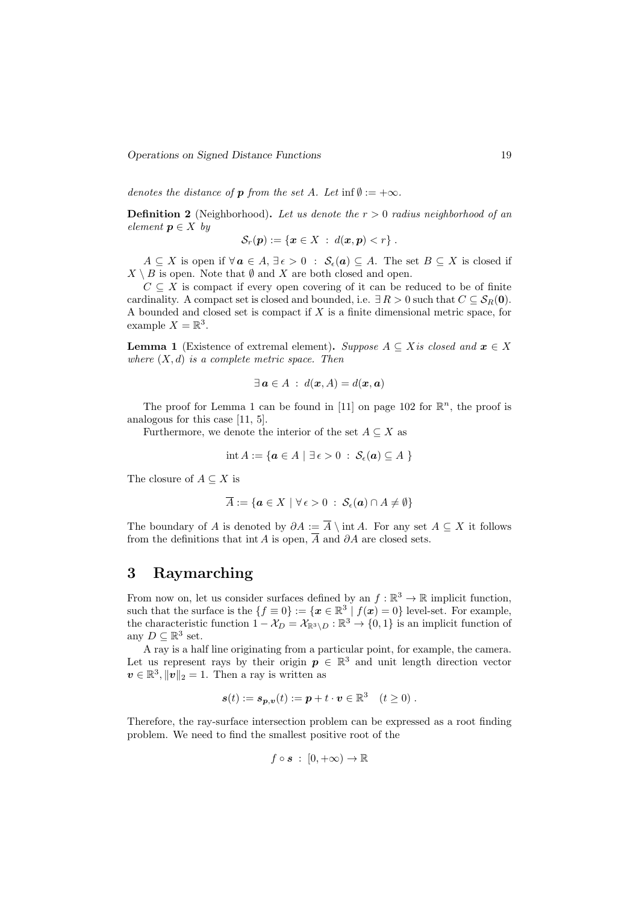Operations on Signed Distance Functions 19

denotes the distance of **p** from the set A. Let inf  $\emptyset := +\infty$ .

**Definition 2** (Neighborhood). Let us denote the  $r > 0$  radius neighborhood of an element  $p \in X$  by

$$
\mathcal{S}_r(\boldsymbol{p}) := \{ \boldsymbol{x} \in X \; : \; d(\boldsymbol{x}, \boldsymbol{p}) < r \} \; .
$$

 $A \subseteq X$  is open if  $\forall a \in A, \exists \epsilon > 0 : S_{\epsilon}(a) \subseteq A$ . The set  $B \subseteq X$  is closed if  $X \setminus B$  is open. Note that  $\emptyset$  and X are both closed and open.

 $C \subseteq X$  is compact if every open covering of it can be reduced to be of finite cardinality. A compact set is closed and bounded, i.e.  $\exists R > 0$  such that  $C \subseteq S_R(0)$ . A bounded and closed set is compact if  $X$  is a finite dimensional metric space, for example  $X = \mathbb{R}^3$ .

**Lemma 1** (Existence of extremal element). Suppose  $A \subseteq X$  is closed and  $x \in X$ where  $(X, d)$  is a complete metric space. Then

$$
\exists \mathbf{a} \in A : d(\mathbf{x}, A) = d(\mathbf{x}, \mathbf{a})
$$

The proof for Lemma 1 can be found in [11] on page 102 for  $\mathbb{R}^n$ , the proof is analogous for this case [11, 5].

Furthermore, we denote the interior of the set  $A \subseteq X$  as

$$
\operatorname{int} A := \{ \boldsymbol{a} \in A \mid \exists \, \epsilon > 0 \; : \; \mathcal{S}_{\epsilon}(\boldsymbol{a}) \subseteq A \; \}
$$

The closure of  $A \subseteq X$  is

$$
\overline{A} := \{ \boldsymbol{a} \in X \mid \forall \, \epsilon > 0 \; : \; \mathcal{S}_{\epsilon}(\boldsymbol{a}) \cap A \neq \emptyset \}
$$

The boundary of A is denoted by  $\partial A := \overline{A} \setminus \text{int } A$ . For any set  $A \subseteq X$  it follows from the definitions that int A is open,  $\overline{A}$  and  $\partial A$  are closed sets.

# 3 Raymarching

From now on, let us consider surfaces defined by an  $f : \mathbb{R}^3 \to \mathbb{R}$  implicit function, such that the surface is the  $\{f \equiv 0\} := \{x \in \mathbb{R}^3 \mid f(x) = 0\}$  level-set. For example, the characteristic function  $1 - \mathcal{X}_D = \mathcal{X}_{\mathbb{R}^3 \setminus D} : \mathbb{R}^3 \to \{0, 1\}$  is an implicit function of any  $D \subseteq \mathbb{R}^3$  set.

A ray is a half line originating from a particular point, for example, the camera. Let us represent rays by their origin  $p \in \mathbb{R}^3$  and unit length direction vector  $v \in \mathbb{R}^3, ||v||_2 = 1$ . Then a ray is written as

$$
\mathbf{s}(t) := \mathbf{s}_{\mathbf{p},\mathbf{v}}(t) := \mathbf{p} + t \cdot \mathbf{v} \in \mathbb{R}^3 \quad (t \ge 0) .
$$

Therefore, the ray-surface intersection problem can be expressed as a root finding problem. We need to find the smallest positive root of the

$$
f \circ s \; : \; [0, +\infty) \to \mathbb{R}
$$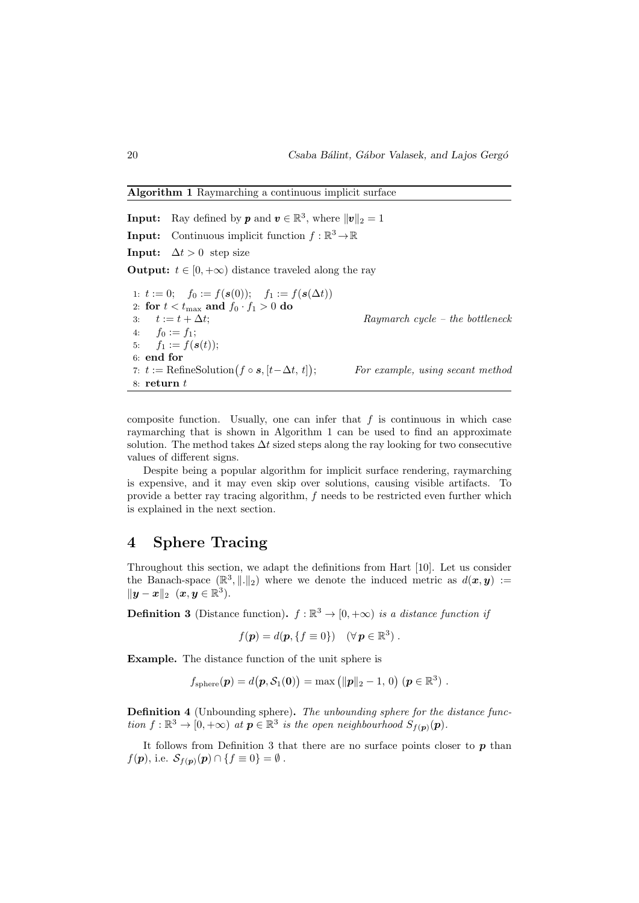Algorithm 1 Raymarching a continuous implicit surface

**Input:** Ray defined by **p** and  $\mathbf{v} \in \mathbb{R}^3$ , where  $\|\mathbf{v}\|_2 = 1$ **Input:** Continuous implicit function  $f : \mathbb{R}^3 \to \mathbb{R}$ **Input:**  $\Delta t > 0$  step size **Output:**  $t \in [0, +\infty)$  distance traveled along the ray 1:  $t := 0;$   $f_0 := f(s(0));$   $f_1 := f(s(\Delta t))$ 2: for  $t < t_{\text{max}}$  and  $f_0 \cdot f_1 > 0$  do 3:  $t := t + \Delta t;$  Raymarch cycle – the bottleneck 4:  $f_0 := f_1;$ 5:  $f_1 := f(\mathbf{s}(t));$ 6: end for 7:  $t := \text{RefineSolution}(f \circ s, [t - \Delta t, t])$ ; For example, using secant method 8: return  $t$ 

composite function. Usually, one can infer that  $f$  is continuous in which case raymarching that is shown in Algorithm 1 can be used to find an approximate solution. The method takes  $\Delta t$  sized steps along the ray looking for two consecutive values of different signs.

Despite being a popular algorithm for implicit surface rendering, raymarching is expensive, and it may even skip over solutions, causing visible artifacts. To provide a better ray tracing algorithm, f needs to be restricted even further which is explained in the next section.

# 4 Sphere Tracing

Throughout this section, we adapt the definitions from Hart [10]. Let us consider the Banach-space  $(\mathbb{R}^3, \|\cdot\|_2)$  where we denote the induced metric as  $d(x, y) :=$  $\|\boldsymbol{y}-\boldsymbol{x}\|_2\ \ (\boldsymbol{x},\boldsymbol{y}\in \mathbb{R}^3).$ 

**Definition 3** (Distance function).  $f : \mathbb{R}^3 \to [0, +\infty)$  is a distance function if

$$
f(\mathbf{p}) = d(\mathbf{p}, \{f \equiv 0\}) \quad (\forall \mathbf{p} \in \mathbb{R}^3).
$$

Example. The distance function of the unit sphere is

$$
f_{\text{sphere}}(\boldsymbol{p}) = d(\boldsymbol{p}, \mathcal{S}_1(\boldsymbol{0})) = \max \left( \|\boldsymbol{p}\|_2 - 1, 0 \right) (\boldsymbol{p} \in \mathbb{R}^3).
$$

Definition 4 (Unbounding sphere). The unbounding sphere for the distance function  $f : \mathbb{R}^3 \to [0, +\infty)$  at  $p \in \mathbb{R}^3$  is the open neighbourhood  $S_{f(p)}(p)$ .

It follows from Definition 3 that there are no surface points closer to  $p$  than  $f(\mathbf{p}),$  i.e.  $\mathcal{S}_{f(\mathbf{p})}(\mathbf{p}) \cap \{f \equiv 0\} = \emptyset$ .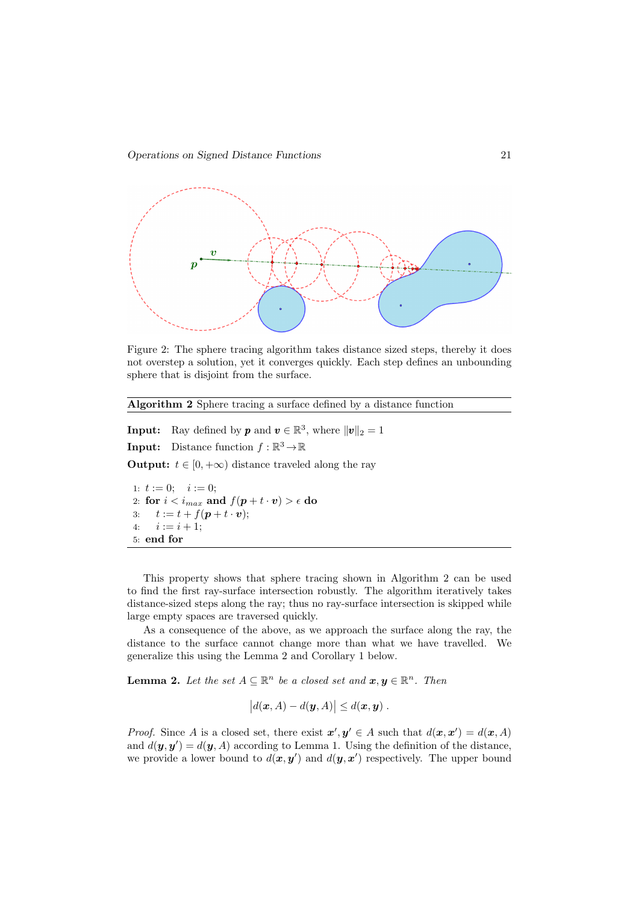

Figure 2: The sphere tracing algorithm takes distance sized steps, thereby it does not overstep a solution, yet it converges quickly. Each step defines an unbounding sphere that is disjoint from the surface.

Algorithm 2 Sphere tracing a surface defined by a distance function

**Input:** Ray defined by **p** and  $\mathbf{v} \in \mathbb{R}^3$ , where  $\|\mathbf{v}\|_2 = 1$ 

**Input:** Distance function  $f : \mathbb{R}^3 \to \mathbb{R}$ 

**Output:**  $t \in [0, +\infty)$  distance traveled along the ray

1:  $t := 0; \quad i := 0;$ 2: for  $i < i_{max}$  and  $f(\boldsymbol{p} + t \cdot \boldsymbol{v}) > \epsilon$  do 3:  $t := t + f(p + t \cdot v);$ 4:  $i := i + 1$ ; 5: end for

This property shows that sphere tracing shown in Algorithm 2 can be used to find the first ray-surface intersection robustly. The algorithm iteratively takes distance-sized steps along the ray; thus no ray-surface intersection is skipped while large empty spaces are traversed quickly.

As a consequence of the above, as we approach the surface along the ray, the distance to the surface cannot change more than what we have travelled. We generalize this using the Lemma 2 and Corollary 1 below.

**Lemma 2.** Let the set  $A \subseteq \mathbb{R}^n$  be a closed set and  $x, y \in \mathbb{R}^n$ . Then

$$
|d(\boldsymbol{x},A)-d(\boldsymbol{y},A)|\leq d(\boldsymbol{x},\boldsymbol{y}).
$$

*Proof.* Since A is a closed set, there exist  $x', y' \in A$  such that  $d(x, x') = d(x, A)$ and  $d(\mathbf{y}, \mathbf{y}') = d(\mathbf{y}, A)$  according to Lemma 1. Using the definition of the distance, we provide a lower bound to  $d(x, y')$  and  $d(y, x')$  respectively. The upper bound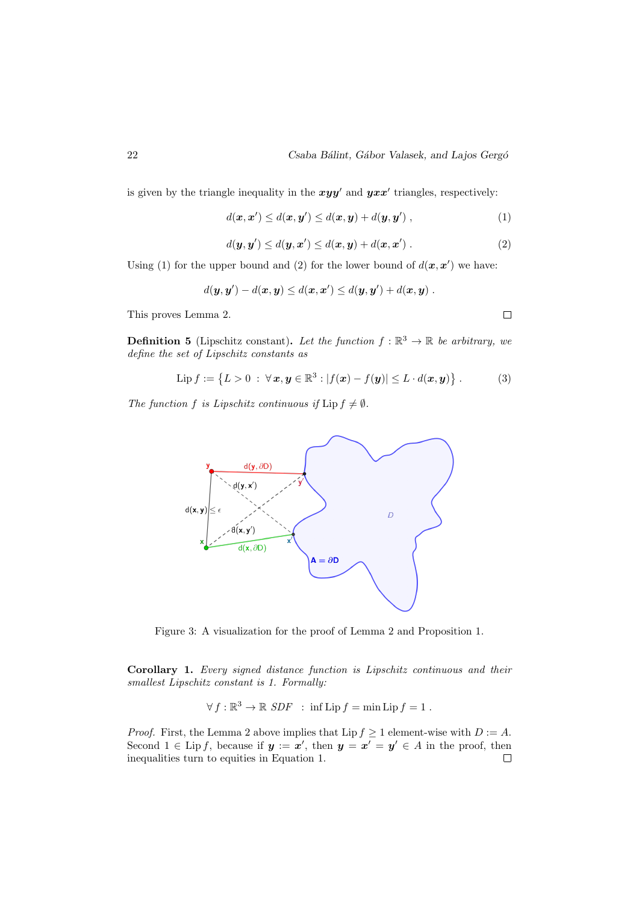$\Box$ 

is given by the triangle inequality in the  $xyy'$  and  $yxx'$  triangles, respectively:

$$
d(\boldsymbol{x}, \boldsymbol{x}') \leq d(\boldsymbol{x}, \boldsymbol{y}') \leq d(\boldsymbol{x}, \boldsymbol{y}) + d(\boldsymbol{y}, \boldsymbol{y}') , \qquad (1)
$$

$$
d(\mathbf{y}, \mathbf{y}') \leq d(\mathbf{y}, \mathbf{x}') \leq d(\mathbf{x}, \mathbf{y}) + d(\mathbf{x}, \mathbf{x}')
$$
 (2)

Using (1) for the upper bound and (2) for the lower bound of  $d(\mathbf{x}, \mathbf{x}')$  we have:

$$
d(\bm{y}, \bm{y}') - d(\bm{x}, \bm{y}) \leq d(\bm{x}, \bm{x}') \leq d(\bm{y}, \bm{y}') + d(\bm{x}, \bm{y}) \ .
$$

This proves Lemma 2.

**Definition 5** (Lipschitz constant). Let the function  $f : \mathbb{R}^3 \to \mathbb{R}$  be arbitrary, we define the set of Lipschitz constants as

$$
\text{Lip } f := \{ L > 0 \; : \; \forall \, x, y \in \mathbb{R}^3 : |f(x) - f(y)| \leq L \cdot d(x, y) \} \; . \tag{3}
$$

The function f is Lipschitz continuous if  $\text{Lip } f \neq \emptyset$ .



Figure 3: A visualization for the proof of Lemma 2 and Proposition 1.

Corollary 1. Every signed distance function is Lipschitz continuous and their smallest Lipschitz constant is 1. Formally:

$$
\forall f : \mathbb{R}^3 \to \mathbb{R} \text{ } SDF \text{ } : \text{ inf } Lip f = \min Lip f = 1 .
$$

*Proof.* First, the Lemma 2 above implies that Lip  $f \ge 1$  element-wise with  $D := A$ . Second  $1 \in \text{Lip } f$ , because if  $y := x'$ , then  $y = x' = y' \in A$  in the proof, then inequalities turn to equities in Equation 1. $\Box$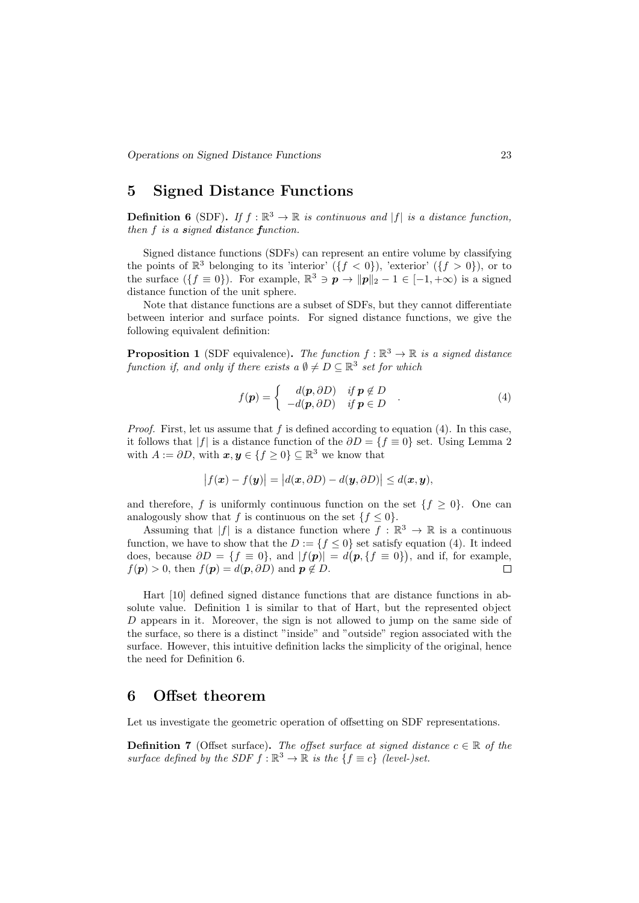# 5 Signed Distance Functions

**Definition 6** (SDF). If  $f : \mathbb{R}^3 \to \mathbb{R}$  is continuous and |f| is a distance function, then f is a signed distance function.

Signed distance functions (SDFs) can represent an entire volume by classifying the points of  $\mathbb{R}^3$  belonging to its 'interior'  $({f < 0})$ , 'exterior'  $({f > 0})$ , or to the surface  $({f \equiv 0})$ . For example,  $\mathbb{R}^3 \ni \mathbf{p} \to ||\mathbf{p}||_2 - 1 \in [-1, +\infty)$  is a signed distance function of the unit sphere.

Note that distance functions are a subset of SDFs, but they cannot differentiate between interior and surface points. For signed distance functions, we give the following equivalent definition:

**Proposition 1** (SDF equivalence). The function  $f : \mathbb{R}^3 \to \mathbb{R}$  is a signed distance function if, and only if there exists a  $\emptyset \neq D \subseteq \mathbb{R}^3$  set for which

$$
f(\mathbf{p}) = \begin{cases} d(\mathbf{p}, \partial D) & \text{if } \mathbf{p} \notin D \\ -d(\mathbf{p}, \partial D) & \text{if } \mathbf{p} \in D \end{cases} . \tag{4}
$$

*Proof.* First, let us assume that f is defined according to equation (4). In this case, it follows that |f| is a distance function of the  $\partial D = \{f \equiv 0\}$  set. Using Lemma 2 with  $A := \partial D$ , with  $\mathbf{x}, \mathbf{y} \in \{f \ge 0\} \subseteq \mathbb{R}^3$  we know that

$$
|f(\boldsymbol{x}) - f(\boldsymbol{y})| = |d(\boldsymbol{x}, \partial D) - d(\boldsymbol{y}, \partial D)| \leq d(\boldsymbol{x}, \boldsymbol{y}),
$$

and therefore, f is uniformly continuous function on the set  $\{f \geq 0\}$ . One can analogously show that f is continuous on the set  $\{f \leq 0\}.$ 

Assuming that |f| is a distance function where  $f : \mathbb{R}^3 \to \mathbb{R}$  is a continuous function, we have to show that the  $D := \{f \leq 0\}$  set satisfy equation (4). It indeed does, because  $\partial D = \{f \equiv 0\}$ , and  $|f(p)| = d(p, \{f \equiv 0\})$ , and if, for example,  $f(\mathbf{p}) > 0$ , then  $f(\mathbf{p}) = d(\mathbf{p}, \partial D)$  and  $\mathbf{p} \notin D$ .  $\Box$ 

Hart [10] defined signed distance functions that are distance functions in absolute value. Definition 1 is similar to that of Hart, but the represented object  $D$  appears in it. Moreover, the sign is not allowed to jump on the same side of the surface, so there is a distinct "inside" and "outside" region associated with the surface. However, this intuitive definition lacks the simplicity of the original, hence the need for Definition 6.

### 6 Offset theorem

Let us investigate the geometric operation of offsetting on SDF representations.

**Definition 7** (Offset surface). The offset surface at signed distance  $c \in \mathbb{R}$  of the surface defined by the SDF  $f : \mathbb{R}^3 \to \mathbb{R}$  is the  $\{f \equiv c\}$  (level-)set.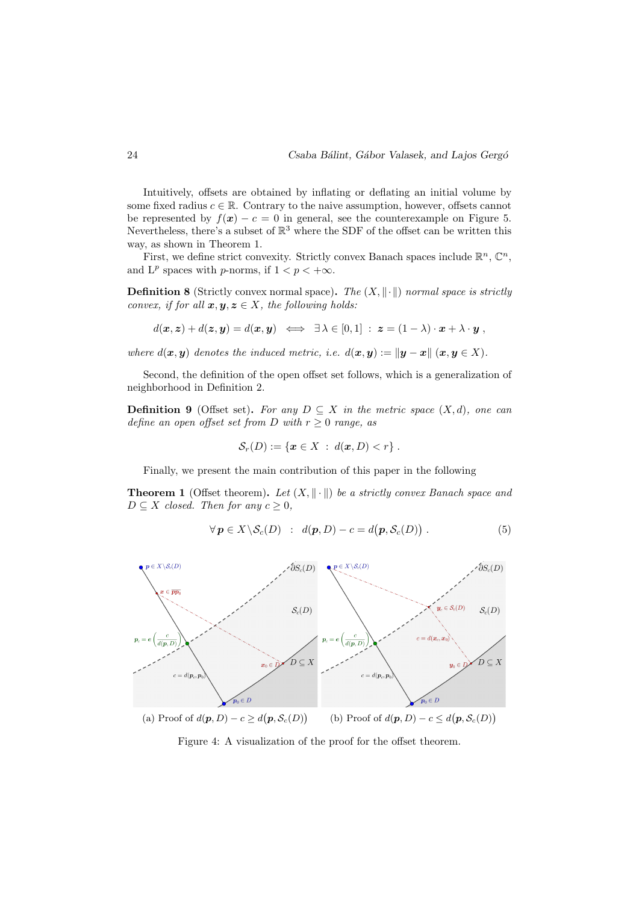Intuitively, offsets are obtained by inflating or deflating an initial volume by some fixed radius  $c \in \mathbb{R}$ . Contrary to the naive assumption, however, offsets cannot be represented by  $f(x) - c = 0$  in general, see the counterexample on Figure 5. Nevertheless, there's a subset of  $\mathbb{R}^3$  where the SDF of the offset can be written this way, as shown in Theorem 1.

First, we define strict convexity. Strictly convex Banach spaces include  $\mathbb{R}^n$ ,  $\mathbb{C}^n$ , and  $L^p$  spaces with *p*-norms, if  $1 < p < +\infty$ .

**Definition 8** (Strictly convex normal space). The  $(X, \|\cdot\|)$  normal space is strictly convex, if for all  $x, y, z \in X$ , the following holds:

$$
d(\boldsymbol{x},\boldsymbol{z})+d(\boldsymbol{z},\boldsymbol{y})=d(\boldsymbol{x},\boldsymbol{y}) \iff \exists \lambda \in [0,1] : \ \boldsymbol{z}=(1-\lambda)\cdot \boldsymbol{x}+\lambda \cdot \boldsymbol{y} \ ,
$$

where  $d(x, y)$  denotes the induced metric, i.e.  $d(x, y) := ||y - x||$   $(x, y \in X)$ .

Second, the definition of the open offset set follows, which is a generalization of neighborhood in Definition 2.

**Definition 9** (Offset set). For any  $D \subseteq X$  in the metric space  $(X, d)$ , one can define an open offset set from D with  $r \geq 0$  range, as

$$
\mathcal{S}_r(D) := \{ \boldsymbol{x} \in X \; : \; d(\boldsymbol{x}, D) < r \} \; .
$$

Finally, we present the main contribution of this paper in the following

**Theorem 1** (Offset theorem). Let  $(X, \|\cdot\|)$  be a strictly convex Banach space and  $D \subseteq X$  closed. Then for any  $c \geq 0$ ,

$$
\forall \mathbf{p} \in X \backslash \mathcal{S}_c(D) : d(\mathbf{p}, D) - c = d(\mathbf{p}, \mathcal{S}_c(D)). \tag{5}
$$



Figure 4: A visualization of the proof for the offset theorem.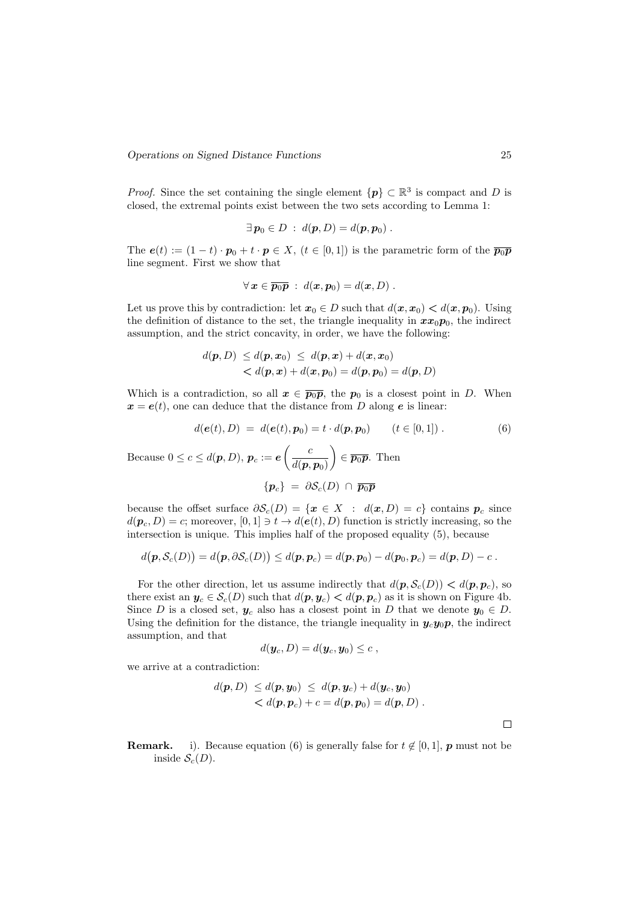*Proof.* Since the set containing the single element  $\{p\} \subset \mathbb{R}^3$  is compact and D is closed, the extremal points exist between the two sets according to Lemma 1:

$$
\exists \mathbf{p}_0 \in D \; : \; d(\mathbf{p}, D) = d(\mathbf{p}, \mathbf{p}_0) \; .
$$

The  $e(t) := (1-t) \cdot p_0 + t \cdot p \in X$ ,  $(t \in [0,1])$  is the parametric form of the  $\overline{p_0p}$ line segment. First we show that

$$
\forall \mathbf{x} \in \overline{\mathbf{p}_0 \mathbf{p}} : d(\mathbf{x}, \mathbf{p}_0) = d(\mathbf{x}, D) .
$$

Let us prove this by contradiction: let  $x_0 \in D$  such that  $d(x, x_0) < d(x, p_0)$ . Using the definition of distance to the set, the triangle inequality in  $xx_0p_0$ , the indirect assumption, and the strict concavity, in order, we have the following:

$$
d(\mathbf{p}, D) \leq d(\mathbf{p}, \mathbf{x}_0) \leq d(\mathbf{p}, \mathbf{x}) + d(\mathbf{x}, \mathbf{x}_0)
$$
  
< 
$$
< d(\mathbf{p}, \mathbf{x}) + d(\mathbf{x}, \mathbf{p}_0) = d(\mathbf{p}, \mathbf{p}_0) = d(\mathbf{p}, D)
$$

Which is a contradiction, so all  $x \in \overline{p_0p}$ , the  $p_0$  is a closest point in D. When  $x = e(t)$ , one can deduce that the distance from D along e is linear:

$$
d(e(t), D) = d(e(t), p_0) = t \cdot d(p, p_0) \qquad (t \in [0, 1]) . \tag{6}
$$

Because  $0 \leq c \leq d(p, D), p_c := e \left( \frac{c}{d(p, D)} \right)$  $d(\bm{p},\bm{p}_0)$  $\Big) \in \overline{p_0p}$ . Then

 ${p_c} = \partial \mathcal{S}_c(D) \cap \overline{p_0p}$ 

because the offset surface  $\partial \mathcal{S}_c(D) = \{x \in X : d(x,D) = c\}$  contains  $p_c$  since  $d(\mathbf{p}_c, D) = c$ ; moreover,  $[0, 1] \ni t \to d(\mathbf{e}(t), D)$  function is strictly increasing, so the intersection is unique. This implies half of the proposed equality (5), because

$$
d(\boldsymbol{p}, \mathcal{S}_c(D)) = d(\boldsymbol{p}, \partial \mathcal{S}_c(D)) \leq d(\boldsymbol{p}, \boldsymbol{p}_c) = d(\boldsymbol{p}, \boldsymbol{p}_0) - d(\boldsymbol{p}_0, \boldsymbol{p}_c) = d(\boldsymbol{p}, D) - c.
$$

For the other direction, let us assume indirectly that  $d(\mathbf{p}, \mathcal{S}_c(D)) < d(\mathbf{p}, \mathbf{p}_c)$ , so there exist an  $y_c \in S_c(D)$  such that  $d(p, y_c) < d(p, p_c)$  as it is shown on Figure 4b. Since D is a closed set,  $y_c$  also has a closest point in D that we denote  $y_0 \in D$ . Using the definition for the distance, the triangle inequality in  $y_c y_0 p$ , the indirect assumption, and that

$$
d(\boldsymbol{y}_c,D)=d(\boldsymbol{y}_c,\boldsymbol{y}_0)\leq c\ ,
$$

we arrive at a contradiction:

$$
d(\boldsymbol{p}, D) \leq d(\boldsymbol{p}, \boldsymbol{y}_0) \leq d(\boldsymbol{p}, \boldsymbol{y}_c) + d(\boldsymbol{y}_c, \boldsymbol{y}_0)
$$
  
< 
$$
< d(\boldsymbol{p}, \boldsymbol{p}_c) + c = d(\boldsymbol{p}, \boldsymbol{p}_0) = d(\boldsymbol{p}, D).
$$

 $\Box$ 

**Remark.** i). Because equation (6) is generally false for  $t \notin [0, 1]$ , **p** must not be inside  $\mathcal{S}_c(D)$ .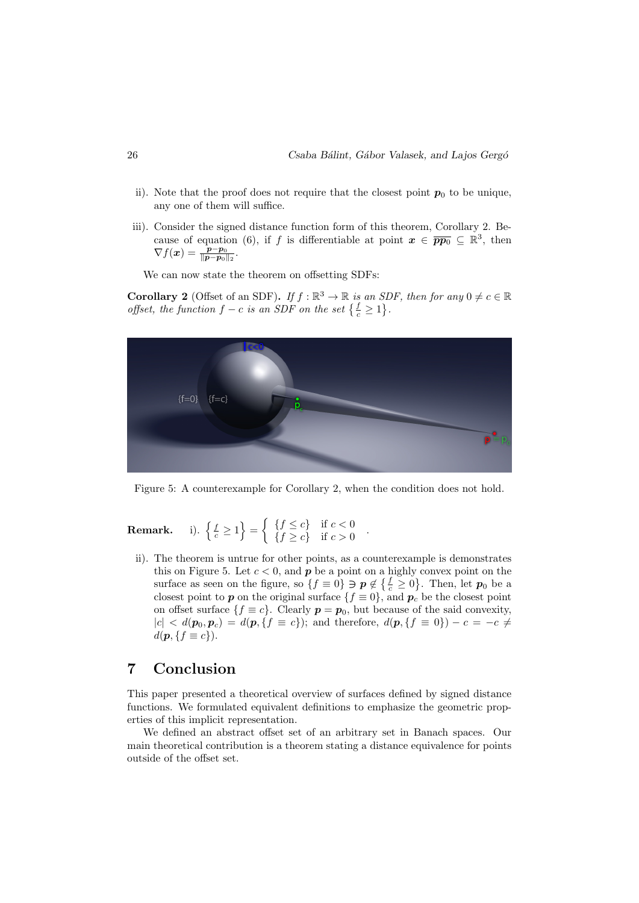- ii). Note that the proof does not require that the closest point  $p_0$  to be unique, any one of them will suffice.
- iii). Consider the signed distance function form of this theorem, Corollary 2. Because of equation (6), if f is differentiable at point  $\mathbf{x} \in \overline{pp_0} \subseteq \mathbb{R}^3$ , then  $\nabla f(\bm{x}) = \frac{\bm{p} - \bm{p}_0}{\|\bm{p} - \bm{p}_0\|_2}.$

We can now state the theorem on offsetting SDFs:

**Corollary 2** (Offset of an SDF). If  $f : \mathbb{R}^3 \to \mathbb{R}$  is an SDF, then for any  $0 \neq c \in \mathbb{R}$ offset, the function  $f - c$  is an SDF on the set  $\{\frac{f}{c} \geq 1\}$ .



Figure 5: A counterexample for Corollary 2, when the condition does not hold.

.

Remark.  $\left\{\frac{f}{c} \geq 1\right\} = \left\{\begin{array}{cc} \{f \leq c\} & \text{if } c < 0 \\ \{f > c\} & \text{if } c > 0 \end{array}\right.$  ${f \geq c}$  if  $c > 0$ 

ii). The theorem is untrue for other points, as a counterexample is demonstrates this on Figure 5. Let  $c < 0$ , and  $p$  be a point on a highly convex point on the surface as seen on the figure, so  $\{f \equiv 0\} \ni p \notin \{\frac{f}{c} \geq 0\}$ . Then, let  $p_0$  be a closest point to p on the original surface  $\{f \equiv 0\}$ , and  $p_c$  be the closest point on offset surface  $\{f \equiv c\}$ . Clearly  $p = p_0$ , but because of the said convexity,  $|c| < d(p_0, p_c) = d(p, \{f \equiv c\})$ ; and therefore,  $d(p, \{f \equiv 0\}) - c = -c \neq$  $d(\boldsymbol{p}, \{f \equiv c\}).$ 

# 7 Conclusion

This paper presented a theoretical overview of surfaces defined by signed distance functions. We formulated equivalent definitions to emphasize the geometric properties of this implicit representation.

We defined an abstract offset set of an arbitrary set in Banach spaces. Our main theoretical contribution is a theorem stating a distance equivalence for points outside of the offset set.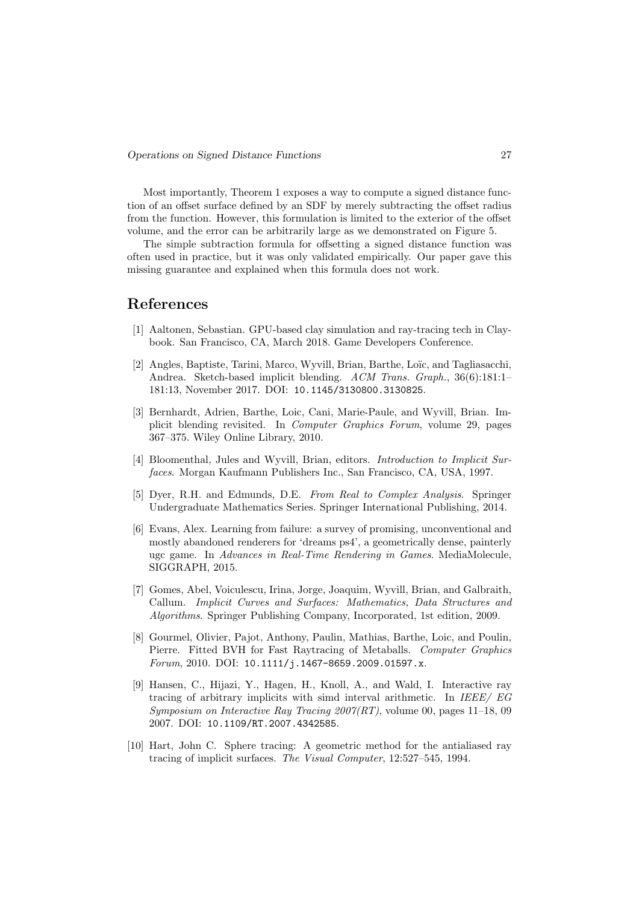Most importantly, Theorem 1 exposes a way to compute a signed distance function of an offset surface defined by an SDF by merely subtracting the offset radius from the function. However, this formulation is limited to the exterior of the offset volume, and the error can be arbitrarily large as we demonstrated on Figure 5.

The simple subtraction formula for offsetting a signed distance function was often used in practice, but it was only validated empirically. Our paper gave this missing guarantee and explained when this formula does not work.

### References

- [1] Aaltonen, Sebastian. GPU-based clay simulation and ray-tracing tech in Claybook. San Francisco, CA, March 2018. Game Developers Conference.
- [2] Angles, Baptiste, Tarini, Marco, Wyvill, Brian, Barthe, Loïc, and Tagliasacchi, Andrea. Sketch-based implicit blending. ACM Trans. Graph., 36(6):181:1– 181:13, November 2017. DOI: 10.1145/3130800.3130825.
- [3] Bernhardt, Adrien, Barthe, Loic, Cani, Marie-Paule, and Wyvill, Brian. Implicit blending revisited. In Computer Graphics Forum, volume 29, pages 367–375. Wiley Online Library, 2010.
- [4] Bloomenthal, Jules and Wyvill, Brian, editors. Introduction to Implicit Surfaces. Morgan Kaufmann Publishers Inc., San Francisco, CA, USA, 1997.
- [5] Dyer, R.H. and Edmunds, D.E. From Real to Complex Analysis. Springer Undergraduate Mathematics Series. Springer International Publishing, 2014.
- [6] Evans, Alex. Learning from failure: a survey of promising, unconventional and mostly abandoned renderers for 'dreams ps4', a geometrically dense, painterly ugc game. In Advances in Real-Time Rendering in Games. MediaMolecule, SIGGRAPH, 2015.
- [7] Gomes, Abel, Voiculescu, Irina, Jorge, Joaquim, Wyvill, Brian, and Galbraith, Callum. Implicit Curves and Surfaces: Mathematics, Data Structures and Algorithms. Springer Publishing Company, Incorporated, 1st edition, 2009.
- [8] Gourmel, Olivier, Pajot, Anthony, Paulin, Mathias, Barthe, Loic, and Poulin, Pierre. Fitted BVH for Fast Raytracing of Metaballs. Computer Graphics Forum, 2010. DOI: 10.1111/j.1467-8659.2009.01597.x.
- [9] Hansen, C., Hijazi, Y., Hagen, H., Knoll, A., and Wald, I. Interactive ray tracing of arbitrary implicits with simd interval arithmetic. In IEEE/ EG Symposium on Interactive Ray Tracing 2007(RT), volume 00, pages 11–18, 09 2007. DOI: 10.1109/RT.2007.4342585.
- [10] Hart, John C. Sphere tracing: A geometric method for the antialiased ray tracing of implicit surfaces. The Visual Computer, 12:527–545, 1994.